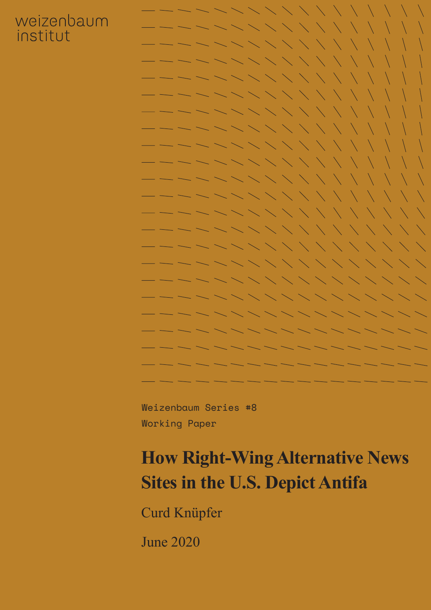## weizenbaum institut



Weizenbaum Series #8 Working Paper

# **How Right-Wing Alternative News Sites in the U.S. Depict Antifa**

Curd Knüpfer

June 2020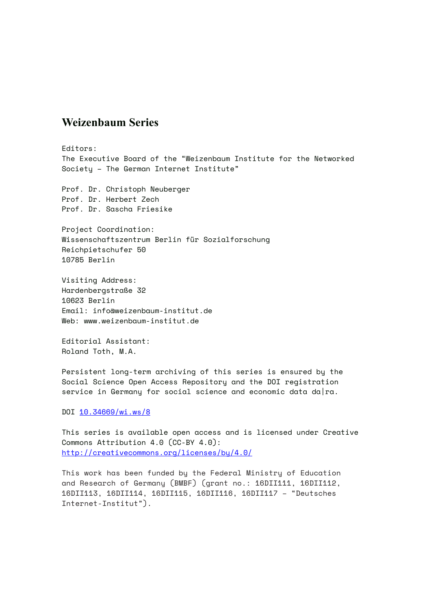#### **Weizenbaum Series**

Editors: The Executive Board of the "Weizenbaum Institute for the Networked Society – The German Internet Institute"

Prof. Dr. Christoph Neuberger Prof. Dr. Herbert Zech Prof. Dr. Sascha Friesike

Project Coordination: Wissenschaftszentrum Berlin für Sozialforschung Reichpietschufer 50 10785 Berlin

Visiting Address: Hardenbergstraße 32 10623 Berlin Email: info@weizenbaum-institut.de Web: www.weizenbaum-institut.de

Editorial Assistant: Roland Toth, M.A.

Persistent long-term archiving of this series is ensured by the Social Science Open Access Repository and the DOI registration service in Germany for social science and economic data da|ra.

DOI [10.34669/wi.ws/8](https://doi.org/10.34669/wi.ws/8)

This series is available open access and is licensed under Creative Commons Attribution 4.0 (CC-BY 4.0): <http://creativecommons.org/licenses/by/4.0/>

This work has been funded by the Federal Ministry of Education and Research of Germany (BMBF) (grant no.: 16DII111, 16DII112, 16DII113, 16DII114, 16DII115, 16DII116, 16DII117 – "Deutsches Internet-Institut").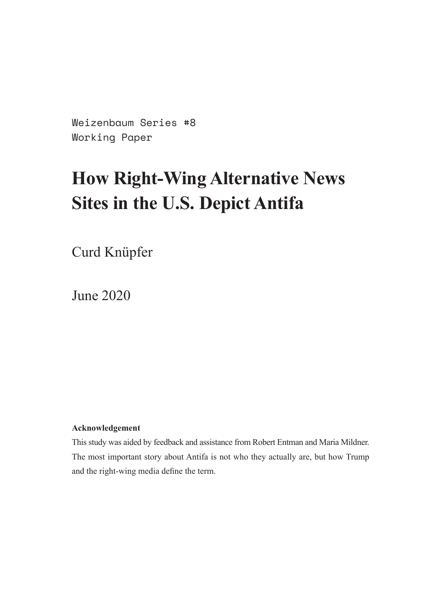Weizenbaum Series #8 Working Paper

# **How Right-Wing Alternative News Sites in the U.S. Depict Antifa**

Curd Knüpfer

June 2020

#### **Acknowledgement**

This study was aided by feedback and assistance from Robert Entman and Maria Mildner. The most important story about Antifa is not who they actually are, but how Trump and the right-wing media define the term.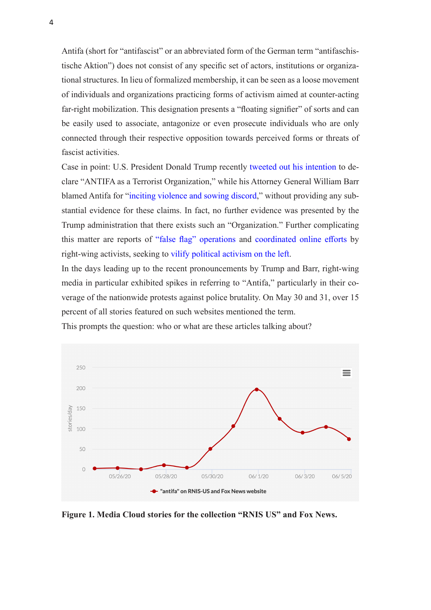Antifa (short for "antifascist" or an abbreviated form of the German term "antifaschistische Aktion") does not consist of any specific set of actors, institutions or organizational structures. In lieu of formalized membership, it can be seen as a loose movement of individuals and organizations practicing forms of activism aimed at counter-acting far-right mobilization. This designation presents a "floating signifier" of sorts and can be easily used to associate, antagonize or even prosecute individuals who are only connected through their respective opposition towards perceived forms or threats of fascist activities.

Case in point: U.S. President Donald Trump recently [tweeted out his intention](https://twitter.com/realdonaldtrump/status/1267129644228247552) to declare "ANTIFA as a Terrorist Organization," while his Attorney General William Barr blamed Antifa for ["inciting violence and sowing discord,](https://abcnews.go.com/Politics/ag-barr-evidence-antifa-foreign-actors-involved-sowing/story?id=71066996)" without providing any substantial evidence for these claims. In fact, no further evidence was presented by the Trump administration that there exists such an "Organization." Further complicating this matter are reports of ["false flag" operations](https://www.reuters.com/article/us-minneapolis-police-protests-facebook/facebook-takes-down-white-nationalist-and-fake-antifa-accounts-idUSKBN23A06J) and [coordinated online efforts](https://www.nbcnews.com/tech/security/twitter-takes-down-washington-protest-disinformation-bot-behavior-n1221456) by right-wing activists, seeking to [vilify political activism on the left.](https://www.vox.com/policy-and-politics/2019/7/3/20677645/antifa-portland-andy-ngo-proud-boys)

In the days leading up to the recent pronouncements by Trump and Barr, right-wing media in particular exhibited spikes in referring to "Antifa," particularly in their coverage of the nationwide protests against police brutality. On May 30 and 31, over 15 percent of all stories featured on such websites mentioned the term.



This prompts the question: who or what are these articles talking about?

**Figure 1. Media Cloud stories for the collection "RNIS US" and Fox News.**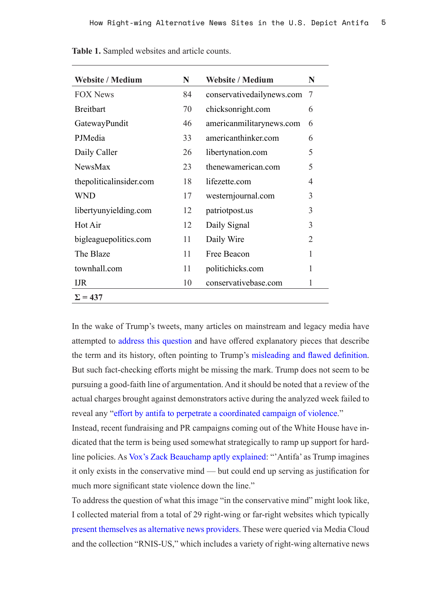| <b>Website / Medium</b> | N  | <b>Website / Medium</b>   | N              |
|-------------------------|----|---------------------------|----------------|
|                         |    |                           |                |
| <b>FOX News</b>         | 84 | conservativedailynews.com | 7              |
| <b>Breitbart</b>        | 70 | chicksonright.com         | 6              |
| GatewayPundit           | 46 | americanmilitarynews.com  | 6              |
| PJMedia                 | 33 | americanthinker.com       | 6              |
| Daily Caller            | 26 | libertynation.com         | 5              |
| <b>NewsMax</b>          | 23 | thenewamerican.com        | 5              |
| thepoliticalinsider.com | 18 | lifezette.com             | $\overline{4}$ |
| <b>WND</b>              | 17 | westernjournal.com        | 3              |
| libertyunyielding.com   | 12 | patriotpost.us            | 3              |
| Hot Air                 | 12 | Daily Signal              | 3              |
| bigleague politics.com  | 11 | Daily Wire                | $\overline{2}$ |
| The Blaze               | 11 | Free Beacon               | $\mathbf{1}$   |
| townhall.com            | 11 | politichicks.com          | 1              |
| <b>IJR</b>              | 10 | conservativebase.com      | 1              |
| $\Sigma = 437$          |    |                           |                |

**Table 1.** Sampled websites and article counts.

In the wake of Trump's tweets, many articles on mainstream and legacy media have attempted to [address this question](https://www.theguardian.com/world/2020/jun/06/what-is-antifa-trump-terrorist-designation) and have offered explanatory pieces that describe the term and its history, often pointing to Trump's [misleading and flawed definition](https://www.washingtonpost.com/opinions/trump-is-spreading-a-dangerous-conspiracy-theory-about-antifa/2020/06/10/5f9fa342-ab47-11ea-94d2-d7bc43b26bf9_story.html). But such fact-checking efforts might be missing the mark. Trump does not seem to be pursuing a good-faith line of argumentation. And it should be noted that a review of the actual charges brought against demonstrators active during the analyzed week failed to reveal any "[effort by antifa to perpetrate a coordinated campaign of violence](https://www.nytimes.com/2020/06/11/us/antifa-protests-george-floyd.html)."

Instead, recent fundraising and PR campaigns coming out of the White House have indicated that the term is being used somewhat strategically to ramp up support for hardline policies. As [Vox's Zack Beauchamp aptly explained](https://www.vox.com/policy-and-politics/2020/6/8/21277320/antifa-anti-fascist-explained): "'Antifa' as Trump imagines it only exists in the conservative mind — but could end up serving as justification for much more significant state violence down the line."

To address the question of what this image "in the conservative mind" might look like, I collected material from a total of 29 right-wing or far-right websites which typically [present themselves as alternative news providers](https://onlinelibrary.wiley.com/doi/full/10.1002/poi3.219). These were queried via Media Cloud and the collection "RNIS-US," which includes a variety of right-wing alternative news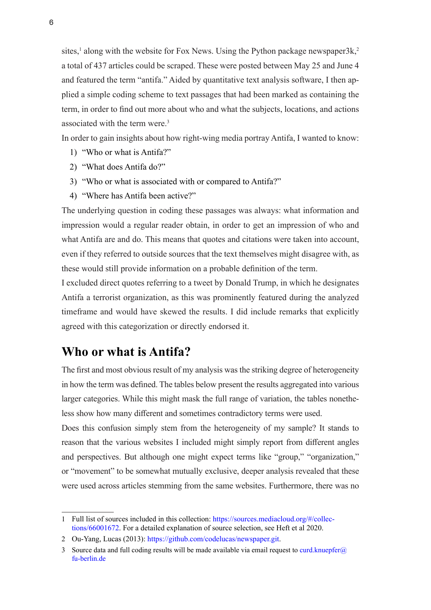sites,<sup>1</sup> along with the website for Fox News. Using the Python package newspaper3k,<sup>2</sup> a total of 437 articles could be scraped. These were posted between May 25 and June 4 and featured the term "antifa." Aided by quantitative text analysis software, I then applied a simple coding scheme to text passages that had been marked as containing the term, in order to find out more about who and what the subjects, locations, and actions associated with the term were.3

In order to gain insights about how right-wing media portray Antifa, I wanted to know:

- 1) "Who or what is Antifa?"
- 2) "What does Antifa do?"
- 3) "Who or what is associated with or compared to Antifa?"
- 4) "Where has Antifa been active?"

The underlying question in coding these passages was always: what information and impression would a regular reader obtain, in order to get an impression of who and what Antifa are and do. This means that quotes and citations were taken into account, even if they referred to outside sources that the text themselves might disagree with, as these would still provide information on a probable definition of the term.

I excluded direct quotes referring to a tweet by Donald Trump, in which he designates Antifa a terrorist organization, as this was prominently featured during the analyzed timeframe and would have skewed the results. I did include remarks that explicitly agreed with this categorization or directly endorsed it.

### **Who or what is Antifa?**

The first and most obvious result of my analysis was the striking degree of heterogeneity in how the term was defined. The tables below present the results aggregated into various larger categories. While this might mask the full range of variation, the tables nonetheless show how many different and sometimes contradictory terms were used.

Does this confusion simply stem from the heterogeneity of my sample? It stands to reason that the various websites I included might simply report from different angles and perspectives. But although one might expect terms like "group," "organization," or "movement" to be somewhat mutually exclusive, deeper analysis revealed that these were used across articles stemming from the same websites. Furthermore, there was no

<sup>1</sup> Full list of sources included in this collection: https://sources.mediacloud.org/#/collections/66001672. For a detailed explanation of source selection, see Heft et al 2020.

<sup>2</sup> Ou-Yang, Lucas (2013): [https://github.com/codelucas/newspaper.git.](https://github.com/codelucas/newspaper.git)

<sup>3</sup> Source data and full coding results will be made available via email request to curd.knuepfer $\omega$ [fu-berlin.de](mailto:curd.knuepfer%40fu-berlin.de?subject=)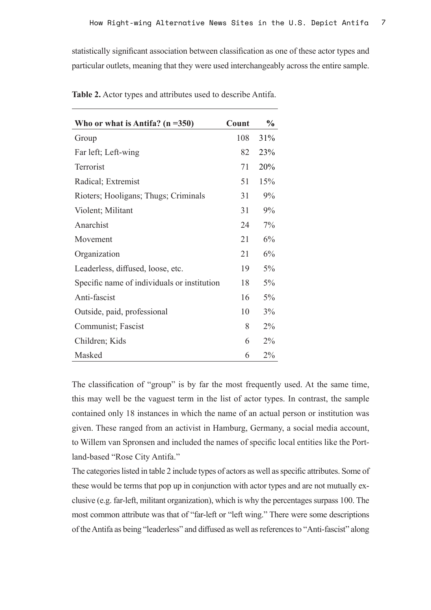statistically significant association between classification as one of these actor types and particular outlets, meaning that they were used interchangeably across the entire sample.

| Who or what is Antifa? $(n = 350)$          | Count | $\frac{0}{0}$ |
|---------------------------------------------|-------|---------------|
| Group                                       | 108   | 31%           |
| Far left; Left-wing                         | 82    | 23%           |
| Terrorist                                   | 71    | 20%           |
| Radical; Extremist                          | 51    | 15%           |
| Rioters; Hooligans; Thugs; Criminals        | 31    | 9%            |
| Violent; Militant                           | 31    | 9%            |
| Anarchist                                   | 24    | $7\%$         |
| Movement                                    | 21    | 6%            |
| Organization                                | 21    | 6%            |
| Leaderless, diffused, loose, etc.           | 19    | 5%            |
| Specific name of individuals or institution | 18    | 5%            |
| Anti-fascist                                | 16    | $5\%$         |
| Outside, paid, professional                 | 10    | 3%            |
| Communist; Fascist                          | 8     | $2\%$         |
| Children; Kids                              | 6     | 2%            |
| Masked                                      | 6     | $2\%$         |

**Table 2.** Actor types and attributes used to describe Antifa.

The classification of "group" is by far the most frequently used. At the same time, this may well be the vaguest term in the list of actor types. In contrast, the sample contained only 18 instances in which the name of an actual person or institution was given. These ranged from an activist in Hamburg, Germany, a social media account, to Willem van Spronsen and included the names of specific local entities like the Portland-based "Rose City Antifa."

The categories listed in table 2 include types of actors as well as specific attributes. Some of these would be terms that pop up in conjunction with actor types and are not mutually exclusive (e.g. far-left, militant organization), which is why the percentages surpass 100. The most common attribute was that of "far-left or "left wing." There were some descriptions of the Antifa as being "leaderless" and diffused as well as references to "Anti-fascist" along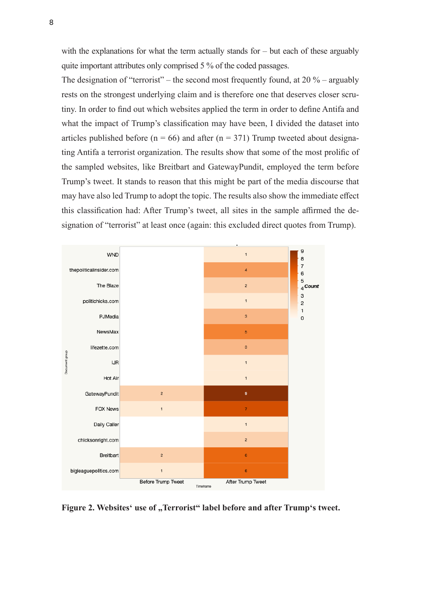with the explanations for what the term actually stands for – but each of these arguably quite important attributes only comprised 5 % of the coded passages.

The designation of "terrorist" – the second most frequently found, at  $20\%$  – arguably rests on the strongest underlying claim and is therefore one that deserves closer scrutiny. In order to find out which websites applied the term in order to define Antifa and what the impact of Trump's classification may have been, I divided the dataset into articles published before ( $n = 66$ ) and after ( $n = 371$ ) Trump tweeted about designating Antifa a terrorist organization. The results show that some of the most prolific of the sampled websites, like Breitbart and GatewayPundit, employed the term before Trump's tweet. It stands to reason that this might be part of the media discourse that may have also led Trump to adopt the topic. The results also show the immediate effect this classification had: After Trump's tweet, all sites in the sample affirmed the designation of "terrorist" at least once (again: this excluded direct quotes from Trump).



Figure 2. Websites' use of "Terrorist" label before and after Trump's tweet.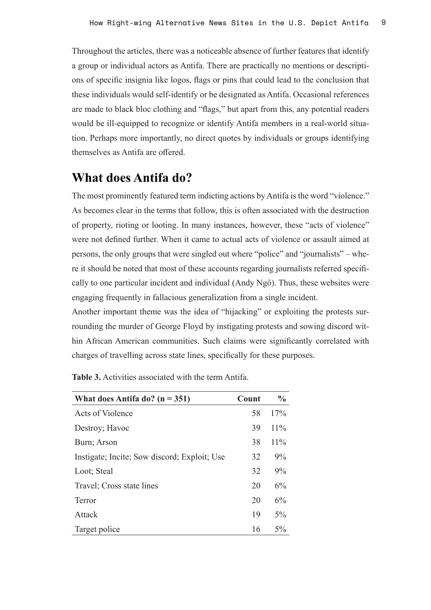Throughout the articles, there was a noticeable absence of further features that identify a group or individual actors as Antifa. There are practically no mentions or descriptions of specific insignia like logos, flags or pins that could lead to the conclusion that these individuals would self-identify or be designated as Antifa. Occasional references are made to black bloc clothing and "flags," but apart from this, any potential readers would be ill-equipped to recognize or identify Antifa members in a real-world situation. Perhaps more importantly, no direct quotes by individuals or groups identifying themselves as Antifa are offered.

### **What does Antifa do?**

The most prominently featured term indicting actions by Antifa is the word "violence." As becomes clear in the terms that follow, this is often associated with the destruction of property, rioting or looting. In many instances, however, these "acts of violence" were not defined further. When it came to actual acts of violence or assault aimed at persons, the only groups that were singled out where "police" and "journalists" – where it should be noted that most of these accounts regarding journalists referred specifically to one particular incident and individual (Andy Ngô). Thus, these websites were engaging frequently in fallacious generalization from a single incident.

Another important theme was the idea of "hijacking" or exploiting the protests surrounding the murder of George Floyd by instigating protests and sowing discord within African American communities. Such claims were significantly correlated with charges of travelling across state lines, specifically for these purposes.

| What does Antifa do? $(n = 351)$             | Count | $\frac{0}{0}$ |
|----------------------------------------------|-------|---------------|
| Acts of Violence                             | 58    | 17%           |
| Destroy; Havoc                               | 39    | $11\%$        |
| Burn; Arson                                  | 38    | $11\%$        |
| Instigate; Incite; Sow discord; Exploit; Use | 32    | $9\%$         |
| Loot; Steal                                  | 32    | $9\%$         |
| Travel; Cross state lines                    | 20    | 6%            |
| Terror                                       | 20    | 6%            |
| Attack                                       | 19    | $5\%$         |
| Target police                                | 16    | $5\%$         |

**Table 3.** Activities associated with the term Antifa.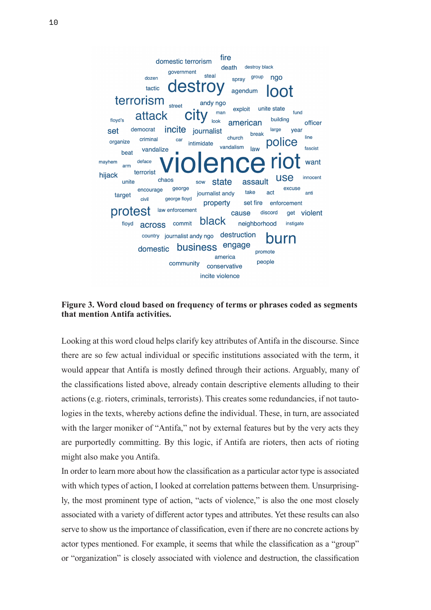

**Figure 3. Word cloud based on frequency of terms or phrases coded as segments that mention Antifa activities.**

Looking at this word cloud helps clarify key attributes of Antifa in the discourse. Since there are so few actual individual or specific institutions associated with the term, it would appear that Antifa is mostly defined through their actions. Arguably, many of the classifications listed above, already contain descriptive elements alluding to their actions (e.g. rioters, criminals, terrorists). This creates some redundancies, if not tautologies in the texts, whereby actions define the individual. These, in turn, are associated with the larger moniker of "Antifa," not by external features but by the very acts they are purportedly committing. By this logic, if Antifa are rioters, then acts of rioting might also make you Antifa.

In order to learn more about how the classification as a particular actor type is associated with which types of action, I looked at correlation patterns between them. Unsurprisingly, the most prominent type of action, "acts of violence," is also the one most closely associated with a variety of different actor types and attributes. Yet these results can also serve to show us the importance of classification, even if there are no concrete actions by actor types mentioned. For example, it seems that while the classification as a "group" or "organization" is closely associated with violence and destruction, the classification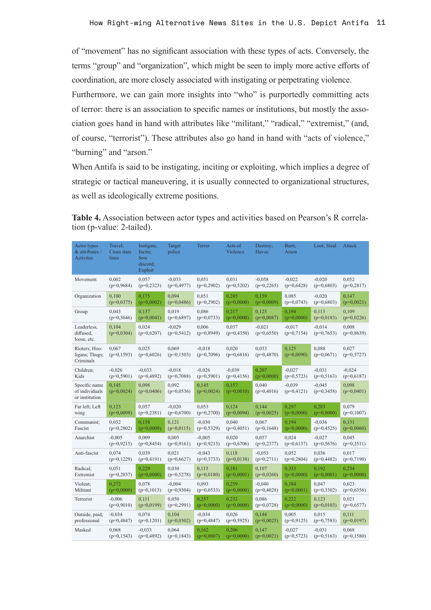of "movement" has no significant association with these types of acts. Conversely, the terms "group" and "organization", which might be seen to imply more active efforts of coordination, are more closely associated with instigating or perpetrating violence.

Furthermore, we can gain more insights into "who" is purportedly committing acts of terror: there is an association to specific names or institutions, but mostly the association goes hand in hand with attributes like "militant," "radical," "extremist," (and, of course, "terrorist"). These attributes also go hand in hand with "acts of violence," "burning" and "arson."

When Antifa is said to be instigating, inciting or exploiting, which implies a degree of strategic or tactical maneuvering, it is usually connected to organizational structures, as well as ideologically extreme positions.

| <b>Table 4.</b> Association between actor types and activities based on Pearson's R correla- |  |  |
|----------------------------------------------------------------------------------------------|--|--|
| tion (p-value: 2-tailed).                                                                    |  |  |

| Actor types<br>& attributes /<br>Activites        | Travel;<br>Cross state<br>lines | Instigate;<br>Incite;<br>Sow<br>discord;<br>Exploit | Target<br>police         | Terror                   | Acts of<br>Violence   | Destroy;<br>Havoc        | Burn;<br>Arson           | Loot; Steal              | Attack                |
|---------------------------------------------------|---------------------------------|-----------------------------------------------------|--------------------------|--------------------------|-----------------------|--------------------------|--------------------------|--------------------------|-----------------------|
| Movement                                          | 0,002                           | 0,057                                               | $-0,033$                 | 0,051                    | 0,031                 | $-0.058$                 | $-0.022$                 | $-0,020$                 | 0,052                 |
|                                                   | $(p=0,9684)$                    | $(p=0,2323)$                                        | $(p=0,4977)$             | $(p=0,2902)$             | $(p=0,5202)$          | $(p=0,2265)$             | $(p=0,6428)$             | $(p=0,6803)$             | $(p=0,2817)$          |
| Organization                                      | 0,100                           | 0,175                                               | 0.094                    | 0,051                    | 0.285                 | 0.159                    | 0,085                    | $-0,020$                 | 0.147                 |
|                                                   | $(p=0.0375)$                    | $(p=0,0002)$                                        | $(p=0,0486)$             | $(p=0,2902)$             | $(p=0,0000)$          | $(p=0,0009)$             | $(p=0,0743)$             | $(p=0,6803)$             | $(p=0,0021)$          |
| Group                                             | 0.043                           | 0.137                                               | 0.019                    | 0.086                    | 0.217                 | 0,125                    | 0.194                    | 0.113                    | 0.109                 |
|                                                   | $(p=0,3646)$                    | $(p=0,0041)$                                        | $(p=0,6897)$             | $(p=0,0733)$             | $(p=0,0000)$          | $(p=0,0087)$             | $(p=0,0000)$             | $(p=0,0183)$             | $(p=0,0226)$          |
| Leaderless,<br>diffused,<br>loose, etc.           | 0,104<br>$(p=0,0304)$           | 0,024<br>$(p=0,6207)$                               | $-0,029$<br>$(p=0,5412)$ | 0,006<br>$(p=0,8949)$    | 0,037<br>$(p=0,4350)$ | $-0,021$<br>$(p=0,6550)$ | $-0.017$<br>$(p=0,7154)$ | $-0.014$<br>$(p=0,7653)$ | 0,008<br>$(p=0,8639)$ |
| Rioters; Hoo-<br>ligans; Thugs;<br>Criminals      | 0,067<br>$(p=0,1593)$           | 0,025<br>$(p=0,6026)$                               | 0,069<br>$(p=0,1503)$    | $-0.018$<br>$(p=0,7096)$ | 0,020<br>$(p=0,6816)$ | 0,033<br>$(p=0,4870)$    | 0,125<br>$(p=0,0090)$    | 0,088<br>$(p=0,0671)$    | 0,027<br>$(p=0,5727)$ |
| Children;                                         | $-0,026$                        | $-0,033$                                            | $-0.018$                 | $-0,026$                 | $-0,039$              | 0,207                    | $-0.027$                 | $-0.031$                 | $-0,024$              |
| Kids                                              | $(p=0,5901)$                    | $(p=0,4892)$                                        | $(p=0,7088)$             | $(p=0,5901)$             | $(p=0,4156)$          | $(p=0,0000)$             | $(p=0,5723)$             | $(p=0,5163)$             | $(p=0,6187)$          |
| Specific name<br>of individuals<br>or institution | 0,145<br>$(p=0,0024)$           | 0,098<br>$(p=0,0406)$                               | 0,092<br>$(p=0,0536)$    | 0,145<br>$(p=0,0024)$    | 0,157<br>$(p=0,0010)$ | 0,040<br>$(p=0,4016)$    | $-0,039$<br>$(p=0,4121)$ | $-0.045$<br>$(p=0,3458)$ | 0,098<br>$(p=0,0401)$ |
| Far left; Left                                    | 0,123                           | 0,057                                               | $-0,020$                 | 0,053                    | 0,124                 | 0,144                    | 0,297                    | 0,283                    | 0,079                 |
| wing                                              | $(p=0,0098)$                    | $(p=0,2381)$                                        | $(p=0,6700)$             | $(p=0,2700)$             | $(p=0,0094)$          | $(p=0,0025)$             | $(p=0,0000)$             | $(p=0,0000)$             | $(p=0,1007)$          |
| Communist;                                        | 0,052                           | 0,158                                               | 0,121                    | $-0,030$                 | 0,040                 | 0,067                    | 0,194                    | $-0.036$                 | 0,131                 |
| Fascist                                           | $(p=0,2802)$                    | $(p=0,0009)$                                        | $(p=0,0115)$             | $(p=0,5329)$             | $(p=0,4051)$          | $(p=0,1648)$             | $(p=0,0000)$             | $(p=0,4525)$             | $(p=0,0060)$          |
| Anarchist                                         | $-0,005$                        | 0.009                                               | 0.005                    | $-0,005$                 | 0.020                 | 0,057                    | 0.024                    | $-0.027$                 | 0.045                 |
|                                                   | $(p=0.9215)$                    | $(p=0,8454)$                                        | $(p=0.9161)$             | $(p=0.9215)$             | $(p=0,6706)$          | $(p=0,2377)$             | $(p=0.6137)$             | $(p=0,5676)$             | $(p=0,3511)$          |
| Anti-fascist                                      | 0.074                           | 0,039                                               | 0,021                    | $-0,043$                 | 0.118                 | $-0,053$                 | 0,052                    | 0,036                    | 0,017                 |
|                                                   | $(p=0,1229)$                    | $(p=0,4191)$                                        | $(p=0,6627)$             | $(p=0,3733)$             | $(p=0,0138)$          | $(p=0,2711)$             | $(p=0,2804)$             | $(p=0,4482)$             | $(p=0,7190)$          |
| Radical:                                          | 0,051                           | 0,229                                               | 0,030                    | 0,113                    | 0,181                 | 0,107                    | 0,333                    | 0,192                    | 0,234                 |
| Extremist                                         | $(p=0,2837)$                    | $(p=0,0000)$                                        | $(p=0,5278)$             | $(p=0,0180)$             | $(p=0,0001)$          | $(p=0,0260)$             | $(p=0,0000)$             | $(p=0,0001)$             | $(p=0,0000)$          |
| Violent;                                          | 0.272                           | 0.078                                               | $-0.004$                 | 0,093                    | 0.259                 | $-0,040$                 | 0,184                    | 0.047                    | 0.023                 |
| Militant                                          | $(p=0,0000)$                    | $(p=0,1013)$                                        | $(p=0,9304)$             | $(p=0,0533)$             | $(p=0,0000)$          | $(p=0,4028)$             | $(p=0,0001)$             | $(p=0,3302)$             | $(p=0,6356)$          |
| Terrorist                                         | $-0,006$                        | 0.111                                               | 0.050                    | 0,257                    | 0,232                 | 0.086                    | 0,222                    | 0.123                    | 0,021                 |
|                                                   | $(p=0,9010)$                    | $(p=0,0199)$                                        | $(p=0,2991)$             | $(p=0,0000)$             | $(p=0,0000)$          | $(p=0,0728)$             | $(p=0,0000)$             | $(p=0,0103)$             | $(p=0,6577)$          |
| Outside, paid,                                    | $-0.034$                        | 0.074                                               | 0,104                    | $-0,034$                 | 0,026                 | 0,144                    | 0,005                    | 0,015                    | 0,111                 |
| professional                                      | $(p=0,4847)$                    | $(p=0,1201)$                                        | $(p=0,0302)$             | $(p=0, 4847)$            | $(p=0,5925)$          | $(p=0,0025)$             | $(p=0, 9125)$            | $(p=0,7583)$             | $(p=0,0197)$          |
| Masked                                            | 0,068                           | $-0,033$                                            | 0,064                    | 0,162                    | 0,206                 | 0,147                    | $-0.027$                 | $-0,031$                 | 0,068                 |
|                                                   | $(p=0, 1543)$                   | $(p=0,4892)$                                        | $(p=0,1843)$             | $(p=0,0007)$             | $(p=0,0000)$          | $(p=0,0021)$             | $(p=0,5723)$             | $(p=0,5163)$             | $(p=0,1580)$          |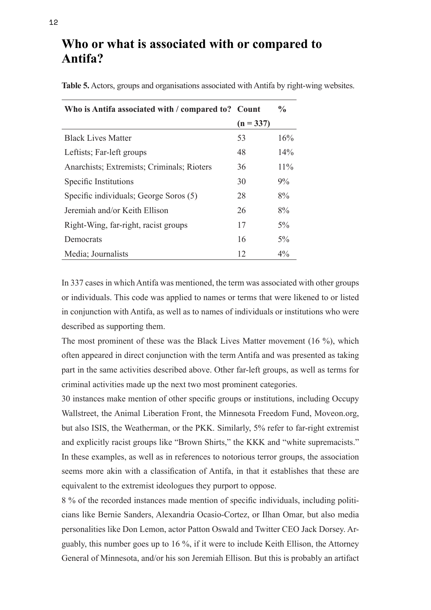### **Who or what is associated with or compared to Antifa?**

| Who is Antifa associated with / compared to? Count |             | $\frac{6}{9}$ |
|----------------------------------------------------|-------------|---------------|
|                                                    | $(n = 337)$ |               |
| <b>Black Lives Matter</b>                          | 53          | 16%           |
| Leftists; Far-left groups                          | 48          | $14\%$        |
| Anarchists; Extremists; Criminals; Rioters         | 36          | $11\%$        |
| Specific Institutions                              | 30          | $9\%$         |
| Specific individuals; George Soros (5)             | 28          | 8%            |
| Jeremiah and/or Keith Ellison                      | 26          | 8%            |
| Right-Wing, far-right, racist groups               | 17          | $5\%$         |
| Democrats                                          | 16          | $5\%$         |
| Media; Journalists                                 | 12          | $4\%$         |

**Table 5.** Actors, groups and organisations associated with Antifa by right-wing websites.

In 337 cases in which Antifa was mentioned, the term was associated with other groups or individuals. This code was applied to names or terms that were likened to or listed in conjunction with Antifa, as well as to names of individuals or institutions who were described as supporting them.

The most prominent of these was the Black Lives Matter movement (16 %), which often appeared in direct conjunction with the term Antifa and was presented as taking part in the same activities described above. Other far-left groups, as well as terms for criminal activities made up the next two most prominent categories.

30 instances make mention of other specific groups or institutions, including Occupy Wallstreet, the Animal Liberation Front, the Minnesota Freedom Fund, Moveon.org, but also ISIS, the Weatherman, or the PKK. Similarly, 5% refer to far-right extremist and explicitly racist groups like "Brown Shirts," the KKK and "white supremacists." In these examples, as well as in references to notorious terror groups, the association seems more akin with a classification of Antifa, in that it establishes that these are equivalent to the extremist ideologues they purport to oppose.

8 % of the recorded instances made mention of specific individuals, including politicians like Bernie Sanders, Alexandria Ocasio-Cortez, or Ilhan Omar, but also media personalities like Don Lemon, actor Patton Oswald and Twitter CEO Jack Dorsey. Arguably, this number goes up to 16 %, if it were to include Keith Ellison, the Attorney General of Minnesota, and/or his son Jeremiah Ellison. But this is probably an artifact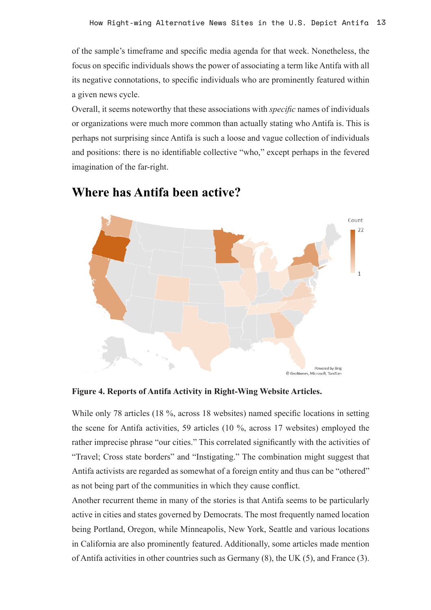of the sample's timeframe and specific media agenda for that week. Nonetheless, the focus on specific individuals shows the power of associating a term like Antifa with all its negative connotations, to specific individuals who are prominently featured within a given news cycle.

Overall, it seems noteworthy that these associations with *specific* names of individuals or organizations were much more common than actually stating who Antifa is. This is perhaps not surprising since Antifa is such a loose and vague collection of individuals and positions: there is no identifiable collective "who," except perhaps in the fevered imagination of the far-right.



#### **Where has Antifa been active?**

**Figure 4. Reports of Antifa Activity in Right-Wing Website Articles.**

While only 78 articles (18 %, across 18 websites) named specific locations in setting the scene for Antifa activities, 59 articles (10 %, across 17 websites) employed the rather imprecise phrase "our cities." This correlated significantly with the activities of "Travel; Cross state borders" and "Instigating." The combination might suggest that Antifa activists are regarded as somewhat of a foreign entity and thus can be "othered" as not being part of the communities in which they cause conflict.

Another recurrent theme in many of the stories is that Antifa seems to be particularly active in cities and states governed by Democrats. The most frequently named location being Portland, Oregon, while Minneapolis, New York, Seattle and various locations in California are also prominently featured. Additionally, some articles made mention of Antifa activities in other countries such as Germany (8), the UK (5), and France (3).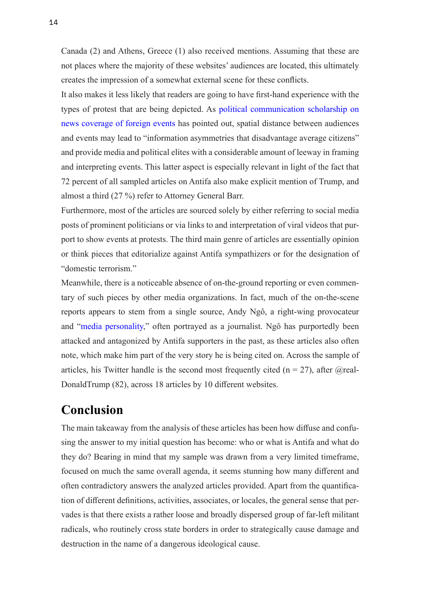Canada (2) and Athens, Greece (1) also received mentions. Assuming that these are not places where the majority of these websites' audiences are located, this ultimately creates the impression of a somewhat external scene for these conflicts.

It also makes it less likely that readers are going to have first-hand experience with the types of protest that are being depicted. As [political communication scholarship on](https://scholar.harvard.edu/files/mbaum/files/baum_potter_jop_preprint.pdf) [news coverage of foreign events](https://scholar.harvard.edu/files/mbaum/files/baum_potter_jop_preprint.pdf) has pointed out, spatial distance between audiences and events may lead to "information asymmetries that disadvantage average citizens" and provide media and political elites with a considerable amount of leeway in framing and interpreting events. This latter aspect is especially relevant in light of the fact that 72 percent of all sampled articles on Antifa also make explicit mention of Trump, and almost a third (27 %) refer to Attorney General Barr.

Furthermore, most of the articles are sourced solely by either referring to social media posts of prominent politicians or via links to and interpretation of viral videos that purport to show events at protests. The third main genre of articles are essentially opinion or think pieces that editorialize against Antifa sympathizers or for the designation of "domestic terrorism."

Meanwhile, there is a noticeable absence of on-the-ground reporting or even commentary of such pieces by other media organizations. In fact, much of the on-the-scene reports appears to stem from a single source, Andy Ngô, a right-wing provocateur and "[media personality,](https://en.wikipedia.org/wiki/Andy_Ngo)" often portrayed as a journalist. Ngô has purportedly been attacked and antagonized by Antifa supporters in the past, as these articles also often note, which make him part of the very story he is being cited on. Across the sample of articles, his Twitter handle is the second most frequently cited ( $n = 27$ ), after @real-DonaldTrump (82), across 18 articles by 10 different websites.

### **Conclusion**

The main takeaway from the analysis of these articles has been how diffuse and confusing the answer to my initial question has become: who or what is Antifa and what do they do? Bearing in mind that my sample was drawn from a very limited timeframe, focused on much the same overall agenda, it seems stunning how many different and often contradictory answers the analyzed articles provided. Apart from the quantification of different definitions, activities, associates, or locales, the general sense that pervades is that there exists a rather loose and broadly dispersed group of far-left militant radicals, who routinely cross state borders in order to strategically cause damage and destruction in the name of a dangerous ideological cause.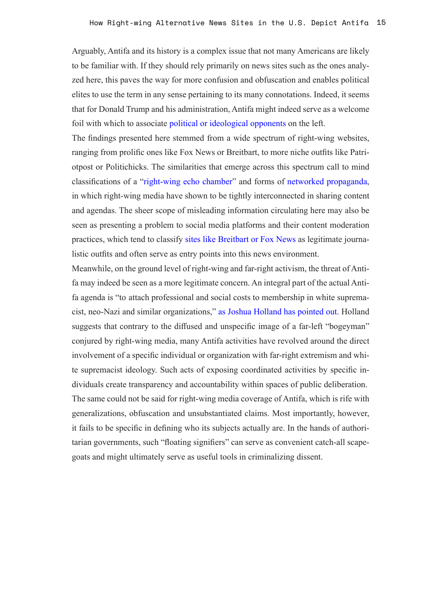Arguably, Antifa and its history is a complex issue that not many Americans are likely to be familiar with. If they should rely primarily on news sites such as the ones analyzed here, this paves the way for more confusion and obfuscation and enables political elites to use the term in any sense pertaining to its many connotations. Indeed, it seems that for Donald Trump and his administration, Antifa might indeed serve as a welcome foil with which to associate [political or ideological opponents](https://www.nytimes.com/2020/06/09/nyregion/who-is-martin-gugino-buffalo-police.html) on the left.

The findings presented here stemmed from a wide spectrum of right-wing websites, ranging from prolific ones like Fox News or Breitbart, to more niche outfits like Patriotpost or Politichicks. The similarities that emerge across this spectrum call to mind classifications of a "[right-wing echo chamber"](https://books.google.de/books?id=139Oa4MOsAgC&printsec=frontcover) and forms of [networked propaganda](https://www.oxfordscholarship.com/view/10.1093/oso/9780190923624.001.0001/oso-9780190923624), in which right-wing media have shown to be tightly interconnected in sharing content and agendas. The sheer scope of misleading information circulating here may also be seen as presenting a problem to social media platforms and their content moderation practices, which tend to classify [sites like Breitbart or Fox News](https://www.vice.com/en_us/article/jgeqe7/how-breitbart-is-crushing-mainstream-media-on-facebook) as legitimate journalistic outfits and often serve as entry points into this news environment.

Meanwhile, on the ground level of right-wing and far-right activism, the threat of Antifa may indeed be seen as a more legitimate concern. An integral part of the actual Antifa agenda is "to attach professional and social costs to membership in white supremacist, neo-Nazi and similar organizations," [as Joshua Holland has pointed out.](https://www.alternet.org/2020/06/antifa-are-a-ridiculous-right-wing-bogeyman-but-theres-more-to-the-story/) Holland suggests that contrary to the diffused and unspecific image of a far-left "bogeyman" conjured by right-wing media, many Antifa activities have revolved around the direct involvement of a specific individual or organization with far-right extremism and white supremacist ideology. Such acts of exposing coordinated activities by specific individuals create transparency and accountability within spaces of public deliberation. The same could not be said for right-wing media coverage of Antifa, which is rife with generalizations, obfuscation and unsubstantiated claims. Most importantly, however, it fails to be specific in defining who its subjects actually are. In the hands of authoritarian governments, such "floating signifiers" can serve as convenient catch-all scapegoats and might ultimately serve as useful tools in criminalizing dissent.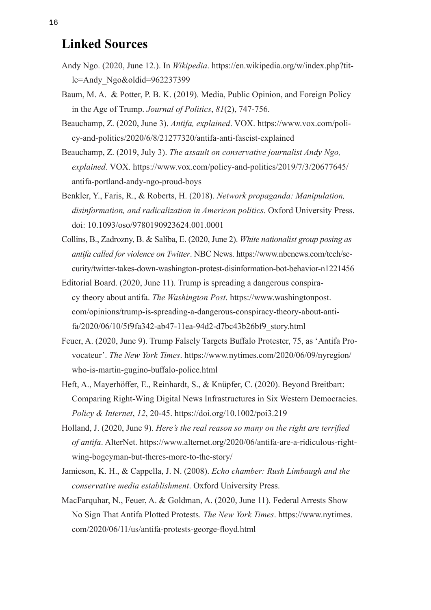#### **Linked Sources**

- Andy Ngo. (2020, June 12.). In *Wikipedia*. https://en.wikipedia.org/w/index.php?title=Andy\_Ngo&oldid=962237399
- Baum, M. A. & Potter, P. B. K. (2019). Media, Public Opinion, and Foreign Policy in the Age of Trump. *Journal of Politics*, *81*(2), 747-756.
- Beauchamp, Z. (2020, June 3). *Antifa, explained*. VOX. https://www.vox.com/policy-and-politics/2020/6/8/21277320/antifa-anti-fascist-explained
- Beauchamp, Z. (2019, July 3). *The assault on conservative journalist Andy Ngo, explained*. VOX. https://www.vox.com/policy-and-politics/2019/7/3/20677645/ antifa-portland-andy-ngo-proud-boys
- Benkler, Y., Faris, R., & Roberts, H. (2018). *Network propaganda: Manipulation, disinformation, and radicalization in American politics*. Oxford University Press. doi: 10.1093/oso/9780190923624.001.0001
- Collins, B., Zadrozny, B. & Saliba, E. (2020, June 2). *White nationalist group posing as antifa called for violence on Twitter*. NBC News. https://www.nbcnews.com/tech/security/twitter-takes-down-washington-protest-disinformation-bot-behavior-n1221456
- Editorial Board. (2020, June 11). Trump is spreading a dangerous conspiracy theory about antifa. *The Washington Post*. https://www.washingtonpost. com/opinions/trump-is-spreading-a-dangerous-conspiracy-theory-about-antifa/2020/06/10/5f9fa342-ab47-11ea-94d2-d7bc43b26bf9\_story.html
- Feuer, A. (2020, June 9). Trump Falsely Targets Buffalo Protester, 75, as 'Antifa Provocateur'. *The New York Times*. https://www.nytimes.com/2020/06/09/nyregion/ who-is-martin-gugino-buffalo-police.html
- Heft, A., Mayerhöffer, E., Reinhardt, S., & Knüpfer, C. (2020). Beyond Breitbart: Comparing Right-Wing Digital News Infrastructures in Six Western Democracies. *Policy & Internet*, *12*, 20-45. https://doi.org/10.1002/poi3.219
- Holland, J. (2020, June 9). *Here's the real reason so many on the right are terrified of antifa*. AlterNet. https://www.alternet.org/2020/06/antifa-are-a-ridiculous-rightwing-bogeyman-but-theres-more-to-the-story/
- Jamieson, K. H., & Cappella, J. N. (2008). *Echo chamber: Rush Limbaugh and the conservative media establishment*. Oxford University Press.
- MacFarquhar, N., Feuer, A. & Goldman, A. (2020, June 11). Federal Arrests Show No Sign That Antifa Plotted Protests. *The New York Times*. https://www.nytimes. com/2020/06/11/us/antifa-protests-george-floyd.html